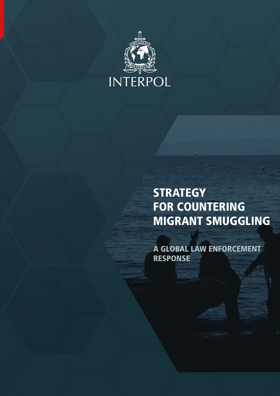

## **STRATEGY** FOR COUNTERING MIGRANT SMUGGLING

A GLOBAL LAW ENFORCEMENT RESPONSE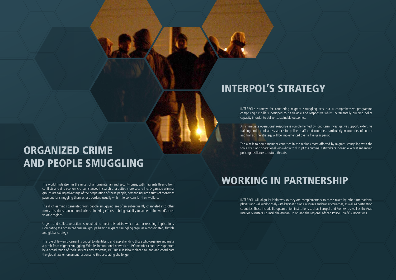The world finds itself in the midst of a humanitarian and security crisis, with migrants fleeing from conflicts and dire economic circumstances in search of a better, more secure life. Organized criminal groups are taking advantage of the desperation of these people, demanding large sums of money as payment for smuggling them across borders, usually with little concern for their welfare.

The illicit earnings generated from people smuggling are often subsequently channeled into other forms of serious transnational crime, hindering efforts to bring stability to some of the world's most volatile regions.

Urgent and collective action is required to meet this crisis, which has far-reaching implications. Combating the organized criminal groups behind migrant smuggling requires a coordinated, flexible and global strategy.

The role of law enforcement is critical to identifying and apprehending those who organize and make a profit from migrant smuggling. With its international network of 190 member countries supported by a broad range of tools, services and expertise, INTERPOL is ideally placed to lead and coordinate the global law enforcement response to this escalating challenge.

# ORGANIZED CRIME AND PEOPLE SMUGGLING

INTERPOL's strategy for countering migrant smuggling sets out a comprehensive programme comprising six pillars, designed to be flexible and responsive whilst incrementally building police capacity in order to deliver sustainable outcomes.

An immediate operational response is complemented by long-term investigative support, extensive training and technical assistance for police in affected countries, particularly in countries of source and transit. The strategy will be implemented over a five-year period.

The aim is to equip member countries in the regions most affected by migrant smuggling with the tools, skills and operational know-how to disrupt the criminal networks responsible, whilst enhancing policing resilience to future threats.

## INTERPOL'S STRATEGY

INTERPOL will align its initiatives so they are complementary to those taken by other international players and will work closely with key institutions in source and transit countries, as well as destination countries. These include European Union institutions such as Europol and Frontex, as well as the Arab Interior Ministers Council, the African Union and the regional African Police Chiefs' Associations.

## WORKING IN PARTNERSHIP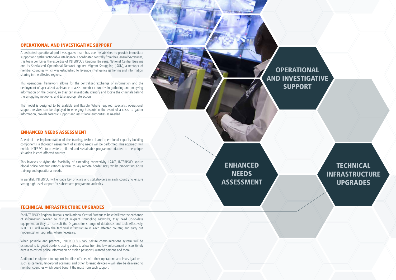### TECHNICAL INFRASTRUCTURE UPGRADES

For INTERPOL's Regional Bureaus and National Central Bureaus to best facilitate the exchange of information needed to disrupt migrant smuggling networks, they need up-to-date equipment so they can consult the Organization's range of databases and tools effectively. INTERPOL will review the technical infrastructure in each affected country, and carry out modernization upgrades where necessary.

Additional equipment to support frontline officers with their operations and investigations – such as cameras, fingerprint scanners and other forensic devices – will also be delivered to member countries which could benefit the most from such support.

Ahead of the implementation of the training, technical and operational capacity building components, a thorough assessment of existing needs will be performed. This approach will enable INTERPOL to provide a tailored and sustainable programme adapted to the unique situation in each affected country.

When possible and practical, INTERPOL's I-24/7 secure communications system will be extended to targeted border crossing points to allow frontline law enforcement officers timely access to critical police information on stolen passports, wanted persons and more.

### ENHANCED NEEDS ASSESSMENT

This involves studying the feasibility of extending connectivity I-24/7, INTERPOL's secure global police communications system, to key remote border sites, whilst pinpointing acute training and operational needs.

In parallel, INTERPOL will engage key officials and stakeholders in each country to ensure strong high-level support for subsequent programme activities.

### **TECHNICAL** INFRASTRUCTURE UPGRADES

### OPERATIONAL AND INVESTIGATIVE SUPPORT

A dedicated operational and investigative team has been established to provide immediate support and gather actionable intelligence. Coordinated centrally from the General Secretariat, this team combines the expertise of INTERPOL's Regional Bureaus, National Central Bureaus and its Specialized Operational Network against Migrant Smuggling (ISON), a network of member countries which was established to leverage intelligence gathering and information sharing in the affected regions.

This operational framework allows for the centralized exchange of information and the deployment of specialized assistance to assist member countries in gathering and analyzing information on the ground, so they can investigate, identify and locate the criminals behind the smuggling networks, and take appropriate action.

The model is designed to be scalable and flexible. Where required, specialist operational support services can be deployed to emerging hotspots in the event of a crisis, to gather information, provide forensic support and assist local authorities as needed.

> ENHANCED **NEEDS** ASSESSMENT

**OPERATIONAL** AND INVESTIGATIVE **SUPPORT** 

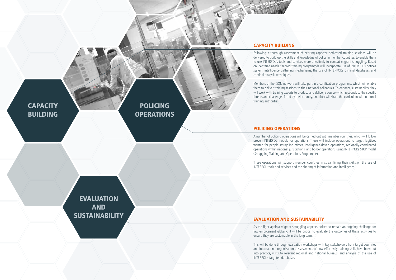As the fight against migrant smuggling appears poised to remain an ongoing challenge for law enforcement globally, it will be critical to evaluate the outcomes of these activities to

This will be done through evaluation workshops with key stakeholders from target countries and international organizations, assessments of how effectively training skills have been put into practice, visits to relevant regional and national bureaus, and analysis of the use of

These operations will support member countries in streamlining their skills on the use of INTERPOL tools and services and the sharing of information and intelligence.

A number of policing operations will be carried out with member countries, which will follow proven INTERPOL models for operations. These will include operations to target fugitives wanted for people smuggling crimes, intelligence-driven operations, regionally-coordinated operations within national jurisdictions, and border operations using INTERPOL's STOP model



Following a thorough assessment of existing capacity, dedicated training sessions will be delivered to build up the skills and knowledge of police in member countries, to enable them to use INTERPOL's tools and services more effectively to combat migrant smuggling. Based on identified needs, tailored training programmes will incorporate use of INTERPOL's notices system, intelligence gathering mechanisms, the use of INTERPOL's criminal databases and

Members of the ISON network will take part in a certification programme, which will enable them to deliver training sessions to their national colleagues. To enhance sustainability, they will work with training experts to produce and deliver a course which responds to the specific threats and challenges faced by their country, and they will share the curriculum with national